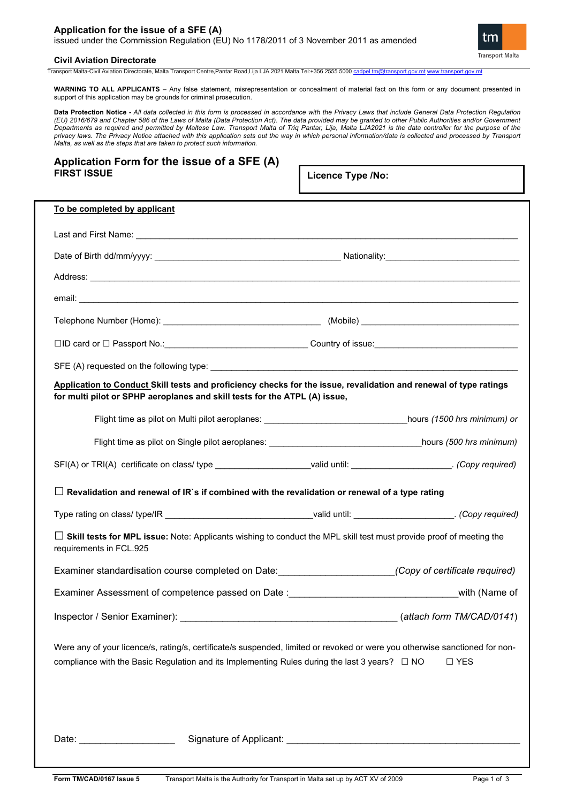## **Application for the issue of a SFE (A)** issued under the Commission Regulation (EU) No 1178/2011 of 3 November 2011 as amended



## **Civil Aviation Directorate**

Transport Malta-Civil Aviation Directorate, Malta Transport Centre,Pantar Road,Lija LJA 2021 Malta.Tel:+356 2555 5000 [cadpel.tm@transport.gov.mt](mailto:cadpel.tm@transport.gov.mt) www.transport.gov.m

**WARNING TO ALL APPLICANTS** – Any false statement, misrepresentation or concealment of material fact on this form or any document presented in support of this application may be grounds for criminal prosecution.

**Data Protection Notice -** *All data collected in this form is processed in accordance with the Privacy Laws that include General Data Protection Regulation (EU) 2016/679 and Chapter 586 of the Laws of Malta (Data Protection Act). The data provided may be granted to other Public Authorities and/or Government Departments as required and permitted by Maltese Law. Transport Malta of Triq Pantar, Lija, Malta LJA2021 is the data controller for the purpose of the privacy laws. The Privacy Notice attached with this application sets out the way in which personal information/data is collected and processed by Transport Malta, as well as the steps that are taken to protect such information.*

# **Application Form for the issue of a SFE (A) FIRST ISSUE**

**Licence Type /No:** 

| To be completed by applicant                                                                                                                                                                                                                       |  |               |  |  |
|----------------------------------------------------------------------------------------------------------------------------------------------------------------------------------------------------------------------------------------------------|--|---------------|--|--|
|                                                                                                                                                                                                                                                    |  |               |  |  |
|                                                                                                                                                                                                                                                    |  |               |  |  |
|                                                                                                                                                                                                                                                    |  |               |  |  |
|                                                                                                                                                                                                                                                    |  |               |  |  |
|                                                                                                                                                                                                                                                    |  |               |  |  |
| □ID card or □ Passport No.:__________________________________Country of issue:________________________________                                                                                                                                     |  |               |  |  |
|                                                                                                                                                                                                                                                    |  |               |  |  |
| Application to Conduct Skill tests and proficiency checks for the issue, revalidation and renewal of type ratings                                                                                                                                  |  |               |  |  |
| for multi pilot or SPHP aeroplanes and skill tests for the ATPL (A) issue,                                                                                                                                                                         |  |               |  |  |
|                                                                                                                                                                                                                                                    |  |               |  |  |
|                                                                                                                                                                                                                                                    |  |               |  |  |
| SFI(A) or TRI(A) certificate on class/ type _____________________valid until: ____________________. (Copy required)                                                                                                                                |  |               |  |  |
| $\Box$ Revalidation and renewal of IR`s if combined with the revalidation or renewal of a type rating                                                                                                                                              |  |               |  |  |
| Type rating on class/ type/IR ___________________________________valid until: ______________________. (Copy required)                                                                                                                              |  |               |  |  |
| $\Box$ Skill tests for MPL issue: Note: Applicants wishing to conduct the MPL skill test must provide proof of meeting the<br>requirements in FCL.925                                                                                              |  |               |  |  |
| Examiner standardisation course completed on Date: (Copy of certificate required)                                                                                                                                                                  |  |               |  |  |
| Examiner Assessment of competence passed on Date :______________________________                                                                                                                                                                   |  | with (Name of |  |  |
|                                                                                                                                                                                                                                                    |  |               |  |  |
| Were any of your licence/s, rating/s, certificate/s suspended, limited or revoked or were you otherwise sanctioned for non-<br>compliance with the Basic Regulation and its Implementing Rules during the last 3 years? $\Box$ NO<br>$\square$ YES |  |               |  |  |
| Date: ______________________                                                                                                                                                                                                                       |  |               |  |  |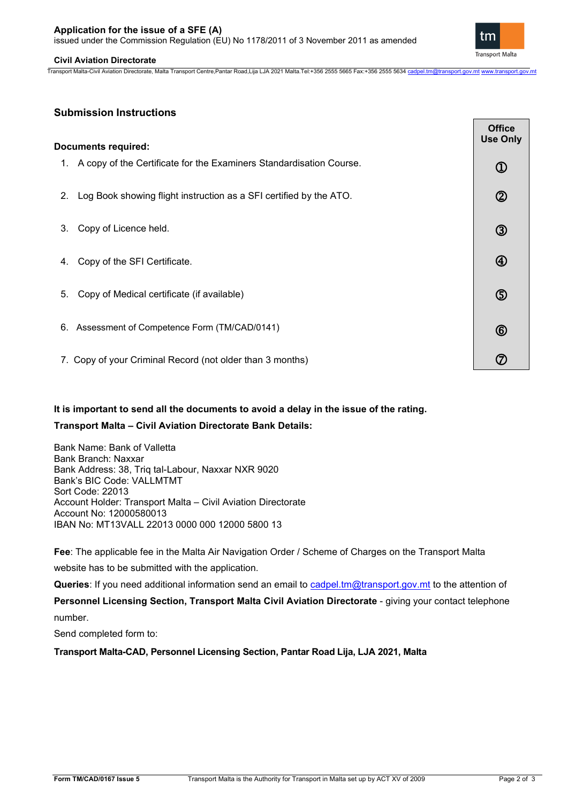issued under the Commission Regulation (EU) No 1178/2011 of 3 November 2011 as amended

## **Civil Aviation Directorate**

Transport Malta-Civil Aviation Directorate, Malta Transport Centre,Pantar Road,Lija LJA 2021 Malta.Tel:+356 2555 5665 Fax:+356 2555 5634 [cadpel.tm@transport.gov.mt](mailto:cadpel.tm@transport.gov.mt) www.transport.gov.m

| <b>Documents required:</b> |                                                                        |                |
|----------------------------|------------------------------------------------------------------------|----------------|
|                            | 1. A copy of the Certificate for the Examiners Standardisation Course. | $\mathbb O$    |
| 2.                         | Log Book showing flight instruction as a SFI certified by the ATO.     | $\circledS$    |
| 3.                         | Copy of Licence held.                                                  | $\circledS$    |
| 4.                         | Copy of the SFI Certificate.                                           | $^{\circledR}$ |
| 5.                         | Copy of Medical certificate (if available)                             | $\circledS$    |
|                            | 6. Assessment of Competence Form (TM/CAD/0141)                         | $^{\circledR}$ |
|                            | 7. Copy of your Criminal Record (not older than 3 months)              | ි              |

# **It is important to send all the documents to avoid a delay in the issue of the rating.**

# **Transport Malta – Civil Aviation Directorate Bank Details:**

Bank Name: Bank of Valletta Bank Branch: Naxxar Bank Address: 38, Triq tal-Labour, Naxxar NXR 9020 Bank's BIC Code: VALLMTMT Sort Code: 22013 Account Holder: Transport Malta – Civil Aviation Directorate Account No: 12000580013 IBAN No: MT13VALL 22013 0000 000 12000 5800 13

**Fee**: The applicable fee in the Malta Air Navigation Order / Scheme of Charges on the Transport Malta website has to be submitted with the application.

Queries: If you need additional information send an email to [cadpel.tm@transport.gov.mt](mailto:cadpel.tm@transport.gov.mt) to the attention of **Personnel Licensing Section, Transport Malta Civil Aviation Directorate - giving your contact telephone** 

number.

Send completed form to:

**Transport Malta-CAD, Personnel Licensing Section, Pantar Road Lija, LJA 2021, Malta**



 $\overline{\phantom{a}}$